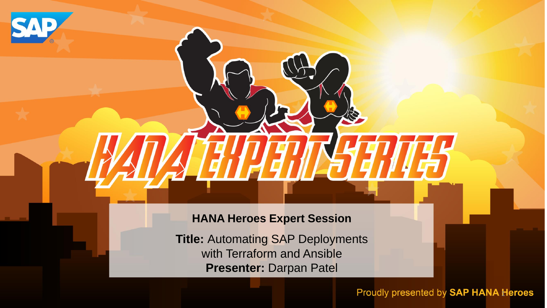### **HANA Heroes Expert Session**

**Title: Automating SAP Deployments** with Terraform and Ansible **Presenter:** Darpan Patel

 $\blacksquare$  Proudly presented by SAP HANA Hero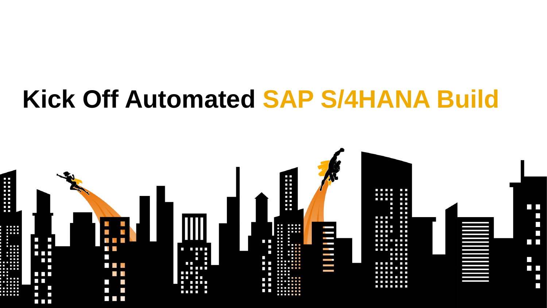# **Kick Off Automated SAP S/4HANA Build**

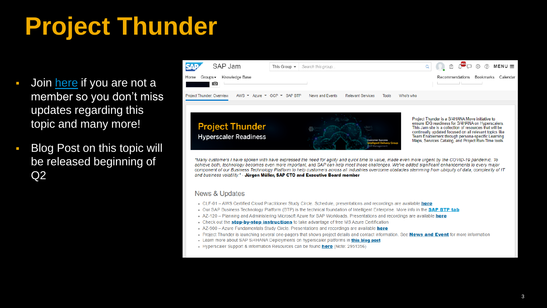# **Project Thunder**

- Join [here](https://jam4.sapjam.com/groups/I54pSaFkB4ogPByCzj5ydr/overview_page/P00pqETO8jYIAX75xDZe16) if you are not a member so you don't miss updates regarding this topic and many more!
- **Blog Post on this topic will** be released beginning of  $Q<sub>2</sub>$



"Many customers I have spoken with have expressed the need for agility and quick time to value, made even more urgent by the COVID-19 pandemic. To achieve both, technology becomes even more important, and SAP can help meet those challenges. We've added significant enhancements to every major component of our Business Technology Platform to help customers across all industries overcome obstacles stemming from ubiquity of data, complexity of IT and business volatility." - Jürgen Müller, SAP CTO and Executive Board member

### **News & Updates**

- CLF-01 AWS Certified Cloud Practitioner Study Circle. Schedule, presentations and recordings are available here
- . Our SAP Business Technology Platform (BTP) is the technical foundation of Intelligent Enterprise. More info in the **SAP BTP tab**
- AZ-120 Planning and Administering Microsoft Azure for SAP Workloads. Presentations and recordings are available here
- . Check out the **step-by-step instructions** to take advantage of free MS Azure Certification
- AZ-900 Azure Fundamentals Study Circle. Presentations and recordings are available here
- Project Thunder is launching several one-pagers that shows project details and contact information. See **News and Event** for more information
- Learn more about SAP S/4HANA Deployments on hyperscaler platforms in *this blog post*
- Hyperscaler Support & information Resources can be found **here** (Note: 2951356)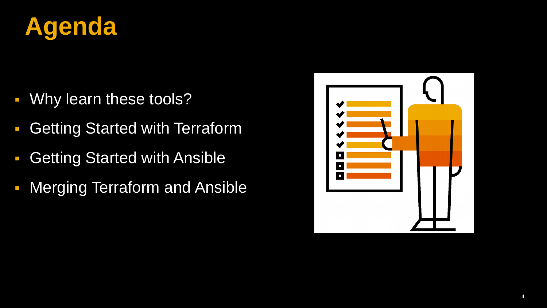

- **Why learn these tools?**
- Getting Started with Terraform
- **Getting Started with Ansible**
- **Merging Terraform and Ansible**

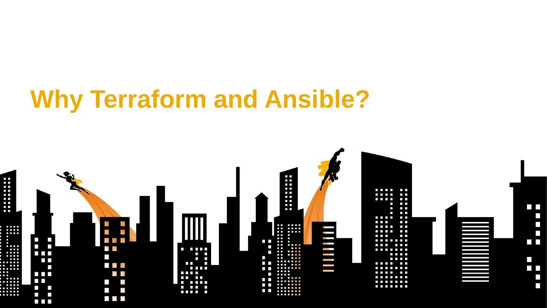# **Why Terraform and Ansible?**

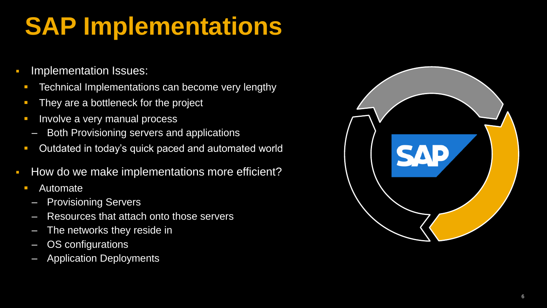# **SAP Implementations**

- Implementation Issues:
	- **EXECOM** Technical Implementations can become very lengthy
	- **They are a bottleneck for the project**
	- **·** Involve a very manual process
		- Both Provisioning servers and applications
- Outdated in today's quick paced and automated world
- How do we make implementations more efficient?
	- Automate
		- Provisioning Servers
		- Resources that attach onto those servers
		- The networks they reside in
		- OS configurations
		- Application Deployments

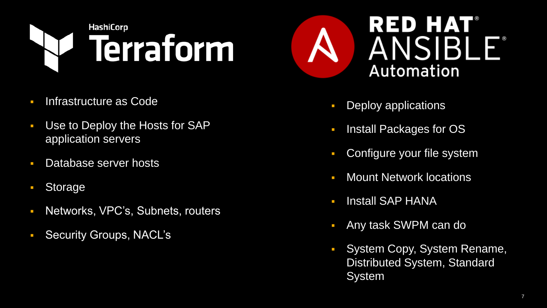

- **Infrastructure as Code**
- Use to Deploy the Hosts for SAP application servers
- **Database server hosts**
- Storage
- **EXECT:** Networks, VPC's, Subnets, routers
- Security Groups, NACL's



- Deploy applications
- **Install Packages for OS**
- Configure your file system
- **E** Mount Network locations
- **E** Install SAP HANA
- Any task SWPM can do
- **System Copy, System Rename,** Distributed System, Standard System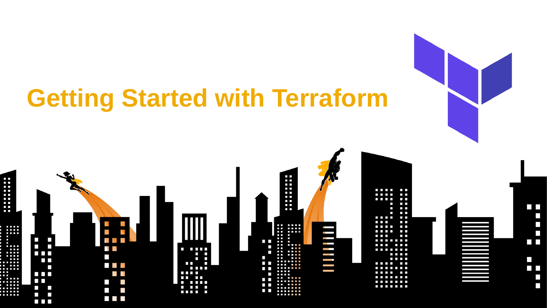# **Getting Started with Terraform**

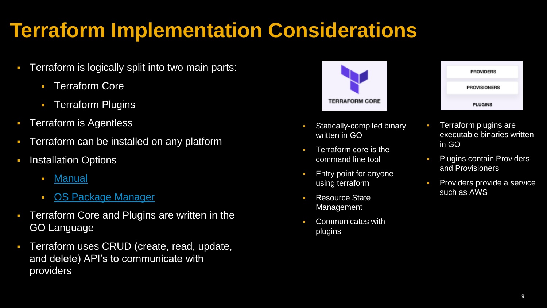## **Terraform Implementation Considerations**

- **EXECTE:** Terraform is logically split into two main parts:
	- **Terraform Core**
	- **Terraform Plugins**
- **EXECUTE:** Terraform is Agentless
- **EXECT** Terraform can be installed on any platform
- **Installation Options** 
	- [Manual](https://learn.hashicorp.com/tutorials/terraform/install-cli)
	- **[OS Package Manager](https://learn.hashicorp.com/tutorials/terraform/install-cli)**
- **Terraform Core and Plugins are written in the** GO Language
- **EXECUTE:** Terraform uses CRUD (create, read, update, and delete) API's to communicate with providers



- **Statically-compiled binary** written in GO
- **•** Terraform core is the command line tool
- **Entry point for anyone** using terraform
- Resource State Management
- **Communicates with** plugins

| <b>PROVIDERS</b>    |
|---------------------|
| <b>PROVISIONERS</b> |
| <b>PLUGINS</b>      |

- Terraform plugins are executable binaries written in GO
- **Plugins contain Providers** and Provisioners
- **Providers provide a service** such as AWS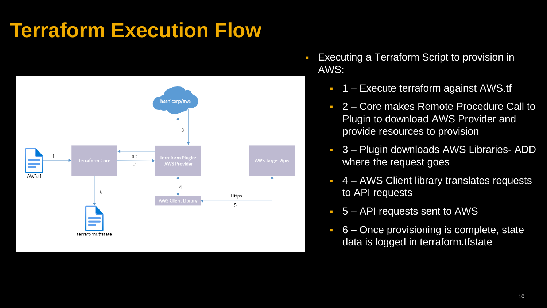## **Terraform Execution Flow**



- **Executing a Terraform Script to provision in** AWS:
	- 1 Execute terraform against AWS.tf
	- 2 Core makes Remote Procedure Call to Plugin to download AWS Provider and provide resources to provision
	- 3 Plugin downloads AWS Libraries- ADD where the request goes
	- 4 AWS Client library translates requests to API requests
	- $\overline{5}$  API requests sent to AWS
	- 6 Once provisioning is complete, state data is logged in terraform.tfstate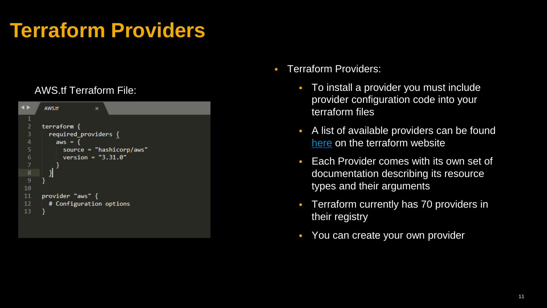## **Terraform Providers**

## AWS.tf Terraform File:



- **Terraform Providers:** 
	- To install a provider you must include provider configuration code into your terraform files
	- A list of available providers can be found [here](https://registry.terraform.io/browse/providers) on the terraform website
	- Each Provider comes with its own set of documentation describing its resource types and their arguments
	- **EXECUTE:** Terraform currently has 70 providers in their registry
	- You can create your own provider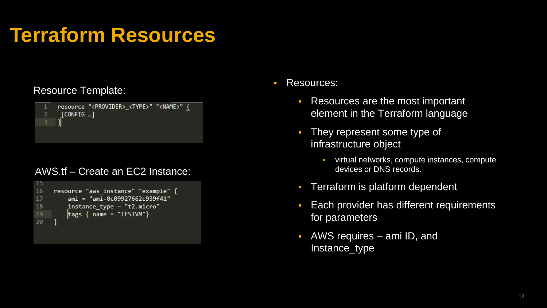## **Terraform Resources**

### Resource Template:

| $[COMFIG \dots]$ | resource " <provider> <type>" "<name>"</name></type></provider> |  |
|------------------|-----------------------------------------------------------------|--|
|                  |                                                                 |  |
|                  |                                                                 |  |
|                  |                                                                 |  |

### AWS.tf – Create an EC2 Instance:



- Resources:
	- Resources are the most important element in the Terraform language
	- They represent some type of infrastructure object
		- **EXECUTE:** virtual networks, compute instances, compute devices or DNS records.
	- Terraform is platform dependent
	- Each provider has different requirements for parameters
	- AWS requires ami ID, and Instance\_type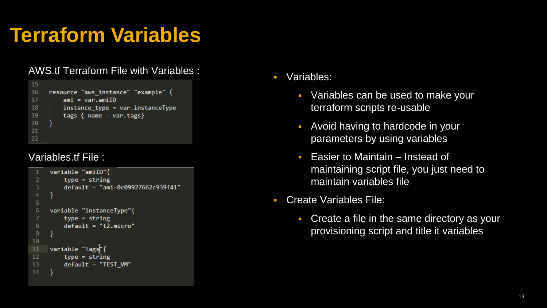## **Terraform Variables**

### AWS.tf Terraform File with Variables :



### Variables.tf File :

```
variable "amiID"{
         type = stringdefault = "ami-0c09927662c939f41"В
 \Delta5
     variable "instanceType"{
 -6
         type = stringdefault = "t2.micro"8
 9
10
     variable "Tags"{
11
12type = string13default = "TEST VM"
14
```
### ▪ Variables:

- Variables can be used to make your terraform scripts re-usable
- Avoid having to hardcode in your parameters by using variables
- Easier to Maintain Instead of maintaining script file, you just need to maintain variables file
- **Create Variables File:** 
	- Create a file in the same directory as your provisioning script and title it variables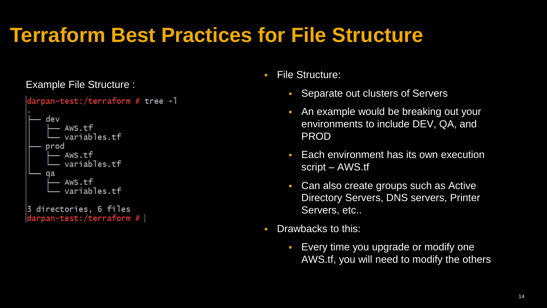## **Terraform Best Practices for File Structure**

### Example File Structure :

```
darpan-test:/terraform # tree -1
    dev
         AWS.tf
         variables.tf
    prod
         AWS.tf
         variables.tf
     qa
         AWS.tf
         variables.tf
  directories, 6 files
\overline{\mathbf{3}}darpan-test:/terraform # |
```
- **Eile Structure:** 
	- **Exercise Separate out clusters of Servers**
	- An example would be breaking out your environments to include DEV, QA, and PROD
	- Each environment has its own execution script – AWS.tf
	- Can also create groups such as Active Directory Servers, DNS servers, Printer Servers, etc..
- Drawbacks to this:
	- **Exery time you upgrade or modify one** AWS.tf, you will need to modify the others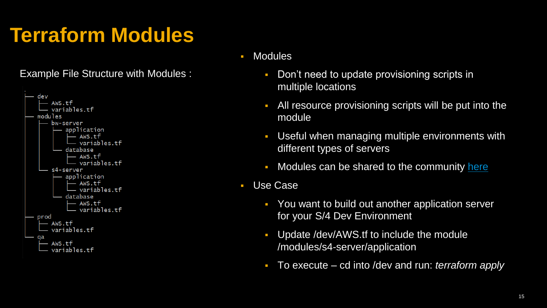## **Terraform Modules**

Example File Structure with Modules :

```
dev
    AWS.tf
    variables.tf
modules
    bw-server
        application
             AWS.tf
            variables.tf
         database
             AWS.tf
            variables.tf
    s4-server
         application
             AWS.tt
             variables.tf
         database
            AWS.tf
            variables.tf
prod
    AWS.tf
  — variables.tf
    AWS.tf
    variables.tf
```
- Modules
	- **Don't need to update provisioning scripts in** multiple locations
	- **EXECUTE:** All resource provisioning scripts will be put into the module
	- **Useful when managing multiple environments with** different types of servers
	- Modules can be shared to the community [here](https://registry.terraform.io/browse/modules)
- **<u>■ Use Case</u>** 
	- You want to build out another application server for your S/4 Dev Environment
	- Update /dev/AWS.tf to include the module /modules/s4-server/application
	- To execute cd into /dev and run: *terraform apply*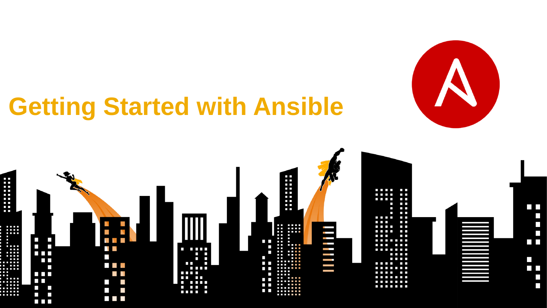

# **Getting Started with Ansible**

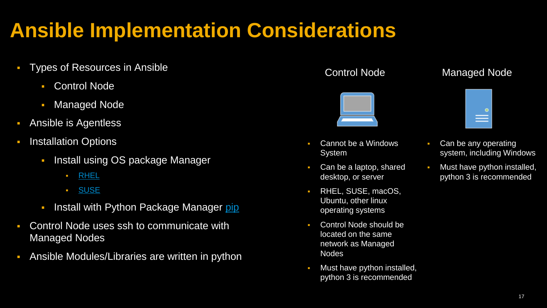## **Ansible Implementation Considerations**

- **Types of Resources in Ansible** 
	- **Control Node**
	- Managed Node
- **EXECUTE:** Ansible is Agentless
- **E** Installation Options
	- Install using OS package Manager
		- [RHEL](https://docs.ansible.com/ansible/latest/installation_guide/intro_installation.html#installing-ansible-on-rhel-centos-or-fedora)
		- [SUSE](https://software.opensuse.org/download.html?project=systemsmanagement&package=ansible)
	- **Install with Python Package Manager [pip](https://docs.ansible.com/ansible/latest/installation_guide/intro_installation.html#installing-ansible-on-rhel-centos-or-fedora)**
- Control Node uses ssh to communicate with Managed Nodes
- **Ansible Modules/Libraries are written in python**

- Cannot be a Windows System
- Can be a laptop, shared desktop, or server
- RHEL, SUSE, macOS, Ubuntu, other linux operating systems
- Control Node should be located on the same network as Managed Nodes
- Must have python installed, python 3 is recommended

### Control Node Managed Node



- Can be any operating system, including Windows
- **Must have python installed,** python 3 is recommended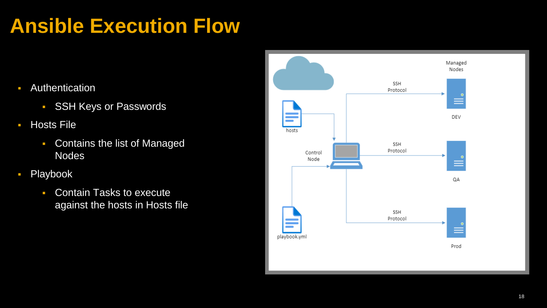## **Ansible Execution Flow**

- **Authentication** 
	- **SSH Keys or Passwords**
- **Hosts File** 
	- **Contains the list of Managed** Nodes
- Playbook
	- Contain Tasks to execute against the hosts in Hosts file

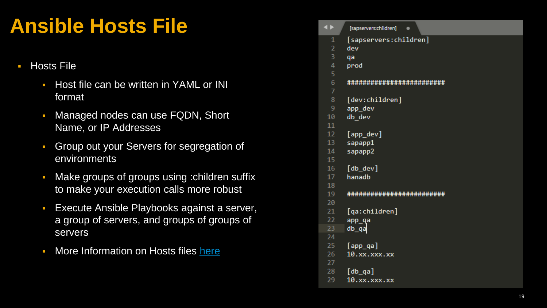## **Ansible Hosts File**

- **Hosts File** 
	- **Host file can be written in YAML or INI** format
	- **EXEQUE A** Managed nodes can use FQDN, Short Name, or IP Addresses
	- **Group out your Servers for segregation of** environments
	- **Make groups of groups using : children suffix** to make your execution calls more robust
	- **Execute Ansible Playbooks against a server,** a group of servers, and groups of groups of servers
	- **More Information on Hosts files [here](https://docs.ansible.com/ansible/latest/user_guide/intro_inventory.html#intro-inventory)**

| 41              | [sapservers:children]      |
|-----------------|----------------------------|
| $\mathbf{1}$    | [sapservers:children]      |
| $\overline{2}$  | dev                        |
| 3               | qa                         |
| 4               | prod                       |
| 5               |                            |
| 6               | ************************** |
| $\overline{7}$  |                            |
| 8               | [dev:children]             |
| 9               | app_dev                    |
| 10              | db dev                     |
| 11              |                            |
| 12 <sub>1</sub> | [app_dev]                  |
| 13              | sapapp1                    |
| 14<br>15        | sapapp2                    |
| 16              | [db dev]                   |
| 17              | hanadb                     |
| 18              |                            |
| 19              | *************************  |
| 20              |                            |
| 21              | [qa:children]              |
| 22              | app_qa                     |
| 23              | $db_qa$                    |
| 24              |                            |
| $25 -$          | $[app_qa]$                 |
| 26              | 10.xx.xxx.xx               |
| 27              |                            |
| 28              | $[db_qa]$                  |
| 29              | 10.xx.xxx.xx               |
|                 |                            |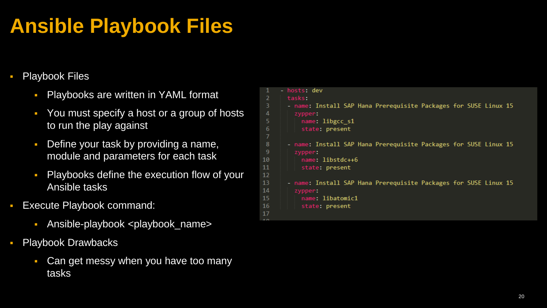## **Ansible Playbook Files**

- **Playbook Files** 
	- Playbooks are written in YAML format
	- You must specify a host or a group of hosts to run the play against
	- Define your task by providing a name, module and parameters for each task
	- Playbooks define the execution flow of your Ansible tasks
- **Execute Playbook command:** 
	- Ansible-playbook <playbook\_name>
- **Playbook Drawbacks** 
	- Can get messy when you have too many tasks

![](_page_19_Figure_10.jpeg)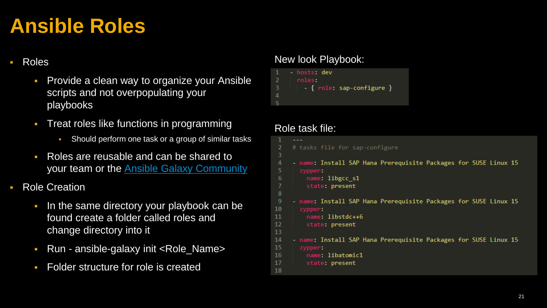## **Ansible Roles**

- Roles
	- **Provide a clean way to organize your Ansible** scripts and not overpopulating your playbooks
	- Treat roles like functions in programming
		- Should perform one task or a group of similar tasks
	- Roles are reusable and can be shared to your team or the [Ansible Galaxy Community](https://galaxy.ansible.com/search?deprecated=false&keywords=&order_by=-relevance)
- Role Creation
	- **In the same directory your playbook can be** found create a folder called roles and change directory into it
	- Run ansible-galaxy init <Role\_Name>
	- Folder structure for role is created

### New look Playbook:

```
- hosts: dev
\overline{2}roles:
            - { role: sap-configure }
\overline{4}
```
### Role task file:

```
- - -# tasks file for sap-configure
 2
 B
     - name: Install SAP Hana Prerequisite Packages for SUSE Linux 15
 \Delta-5
       zypper:
 6
         name: libgcc s1
          state: present
 -8
     - name: Install SAP Hana Prerequisite Packages for SUSE Linux 15
 -9
10
       zypper:
11
          name: libstdc++6
12state: present
1<sub>3</sub>14
     - name: Install SAP Hana Prerequisite Packages for SUSE Linux 15
15
       zypper:
16
          name: libatomic1
17
          state: present
18
```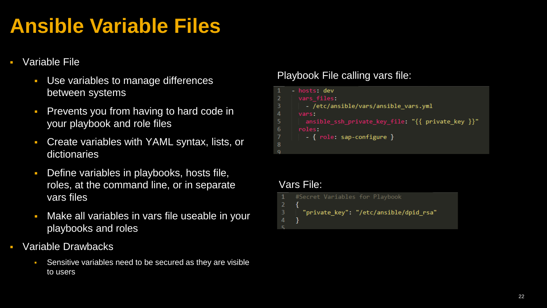## **Ansible Variable Files**

- Variable File
	- **Use variables to manage differences** between systems
	- Prevents you from having to hard code in your playbook and role files
	- Create variables with YAML syntax, lists, or dictionaries
	- Define variables in playbooks, hosts file, roles, at the command line, or in separate vars files
	- Make all variables in vars file useable in your playbooks and roles
- Variable Drawbacks
	- Sensitive variables need to be secured as they are visible to users

### Playbook File calling vars file:

```
- hosts: dev
\mathbf{1}\overline{2}vars files:
          - /etc/ansible/vars/ansible_vars.yml
\overline{3}\overline{4}vars:
5
          ansible_ssh_private_key_file: "{{ private_key }}"
        roles:
          - { role: sap-configure }
8
\mathbf{q}
```
### Vars File:

```
#Secret Variables for Playbook
\mathbf 1\overline{2}"private key": "/etc/ansible/dpid rsa"
3
\overline{4}
```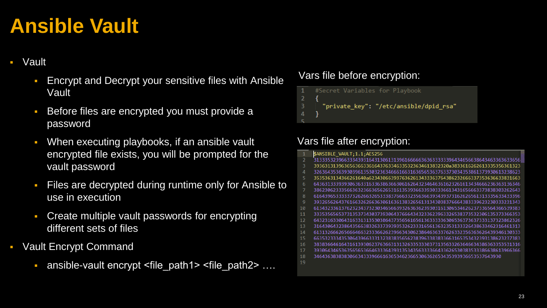## **Ansible Vault**

- Vault
	- Encrypt and Decrypt your sensitive files with Ansible Vault
	- Before files are encrypted you must provide a password
	- When executing playbooks, if an ansible vault encrypted file exists, you will be prompted for the vault password
	- Files are decrypted during runtime only for Ansible to use in execution
	- **Create multiple vault passwords for encrypting** different sets of files
- Vault Encrypt Command
	- ansible-vault encrypt <file\_path1> <file\_path2> ….

### Vars file before encryption:

- #Secret Variables for Playbook  $\mathbf{1}$ 
	- "private key": "/etc/ansible/dpid rsa"

### Vars file after encryption:

 $\overline{4}$ 

|                | \$ANSIBLE_VAULT;1.1;AES256                                                   |
|----------------|------------------------------------------------------------------------------|
| $\overline{2}$ | 313335323966333439316431306131396166666363633333396434656638643463363656     |
| 3              | 3936313139636563663361643763346335323634613832320a3833616262613335356361323  |
| $\overline{4}$ | 326364353639303961353032363466616631636565363763373034353861373930613238623  |
| 5              | 3535363134366261640a6234306639376362613433363764386232666337353636633831663  |
| 6              | 643631333939306363316336386366306162643234646361623261613434666236363136346  |
| 7              | 386230623335663632366365626531613539366339303336613431656663373838303262643  |
| 8              | 616439653333373262663265333837666332356366393439373162626561313335633433396  |
| 9              | 393265626437616632626636306163613832656131343038376664383339623230333231343  |
| 10             | 613432336137623234373230346566393263636239303161306534626237336564366539383  |
| 11             | 333535656537313537343037393064376664343233623963326538373532306135373366353  |
| 12             | 643231633064316331313530386437356561656136333336306536373637333137323862326  |
| 1 <sub>3</sub> | 316430643238643566383263373939353262333165613632353133326438633462316461313  |
| 14             | 613132666265666466323336626239663430623864636337626332356363626439346130333  |
| 15             | 663532333435306439663331323838356562383963383833663165353432393138623237383  |
| 16             | 3838366461643161393062376366313132633533303731356332636466343863635353531316 |
| 17             | 393064346536356565366463336439313534356333366433626530383533386638613966366  |
| 18             | 346436383838386663433396661636534623665306362653435393936653537643930        |
| 19             |                                                                              |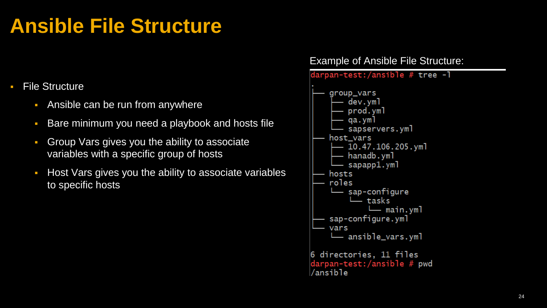## **Ansible File Structure**

### **Exercise Structure**

- **EXEC** Ansible can be run from anywhere
- **Bare minimum you need a playbook and hosts file**
- **Group Vars gives you the ability to associate** variables with a specific group of hosts
- Host Vars gives you the ability to associate variables to specific hosts

Example of Ansible File Structure:

![](_page_23_Figure_7.jpeg)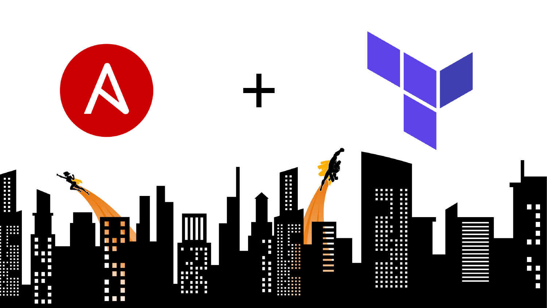![](_page_24_Figure_0.jpeg)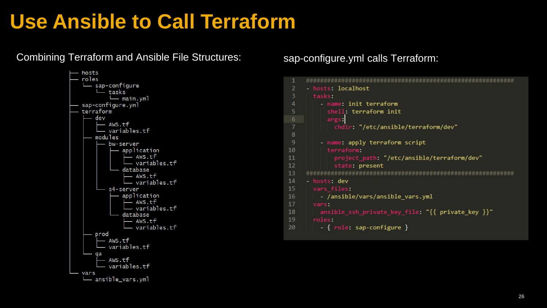## **Use Ansible to Call Terraform**

## Combining Terraform and Ansible File Structures: sap-configure.yml calls Terraform:

![](_page_25_Figure_2.jpeg)

| 1              |                                                   |
|----------------|---------------------------------------------------|
| 2              | - hosts: localhost                                |
| 3              | tasks:                                            |
| $\overline{4}$ | - name: init terraform                            |
| 5              | shell: terraform init                             |
| 6              | args:                                             |
| $\overline{7}$ | chdir: "/etc/ansible/terraform/dev"               |
| 8              |                                                   |
| 9              | - name: apply terraform script                    |
| 10             | terraform:                                        |
| 11             | project_path: "/etc/ansible/terraform/dev"        |
| 12             | state: present                                    |
| 13             | ******************************                    |
| 14             | - hosts: dev                                      |
| 15             | vars files:                                       |
| 16             | - /ansible/vars/ansible_vars.yml                  |
| 17             | vars:                                             |
| 18             | ansible_ssh_private_key_file: "{{ private_key }}" |
| 19             | roles:                                            |
| 20             | - { role: sap-configure }                         |